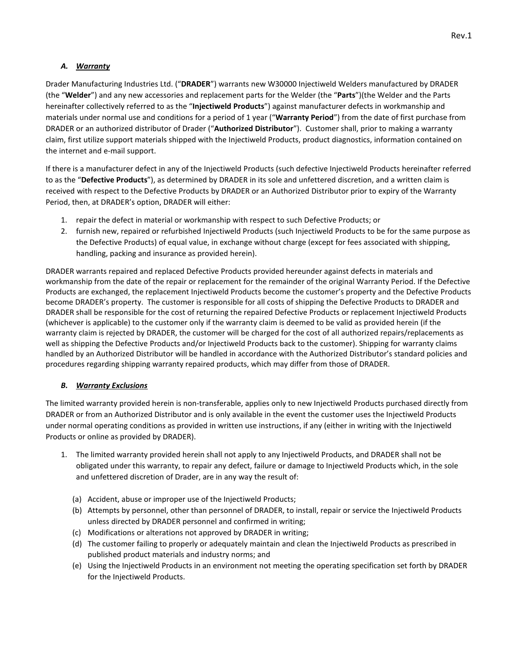## *A. Warranty*

Drader Manufacturing Industries Ltd. ("**DRADER**") warrants new W30000 Injectiweld Welders manufactured by DRADER (the "**Welder**") and any new accessories and replacement parts for the Welder (the "**Parts**")(the Welder and the Parts hereinafter collectively referred to as the "**Injectiweld Products**") against manufacturer defects in workmanship and materials under normal use and conditions for a period of 1 year ("**Warranty Period**") from the date of first purchase from DRADER or an authorized distributor of Drader ("**Authorized Distributor**"). Customer shall, prior to making a warranty claim, first utilize support materials shipped with the Injectiweld Products, product diagnostics, information contained on the internet and e-mail support.

If there is a manufacturer defect in any of the Injectiweld Products (such defective Injectiweld Products hereinafter referred to as the "**Defective Products**"), as determined by DRADER in its sole and unfettered discretion, and a written claim is received with respect to the Defective Products by DRADER or an Authorized Distributor prior to expiry of the Warranty Period, then, at DRADER's option, DRADER will either:

- 1. repair the defect in material or workmanship with respect to such Defective Products; or
- 2. furnish new, repaired or refurbished Injectiweld Products (such Injectiweld Products to be for the same purpose as the Defective Products) of equal value, in exchange without charge (except for fees associated with shipping, handling, packing and insurance as provided herein).

DRADER warrants repaired and replaced Defective Products provided hereunder against defects in materials and workmanship from the date of the repair or replacement for the remainder of the original Warranty Period. If the Defective Products are exchanged, the replacement Injectiweld Products become the customer's property and the Defective Products become DRADER's property. The customer is responsible for all costs of shipping the Defective Products to DRADER and DRADER shall be responsible for the cost of returning the repaired Defective Products or replacement Injectiweld Products (whichever is applicable) to the customer only if the warranty claim is deemed to be valid as provided herein (if the warranty claim is rejected by DRADER, the customer will be charged for the cost of all authorized repairs/replacements as well as shipping the Defective Products and/or Injectiweld Products back to the customer). Shipping for warranty claims handled by an Authorized Distributor will be handled in accordance with the Authorized Distributor's standard policies and procedures regarding shipping warranty repaired products, which may differ from those of DRADER.

## *B. Warranty Exclusions*

The limited warranty provided herein is non-transferable, applies only to new Injectiweld Products purchased directly from DRADER or from an Authorized Distributor and is only available in the event the customer uses the Injectiweld Products under normal operating conditions as provided in written use instructions, if any (either in writing with the Injectiweld Products or online as provided by DRADER).

- 1. The limited warranty provided herein shall not apply to any Injectiweld Products, and DRADER shall not be obligated under this warranty, to repair any defect, failure or damage to Injectiweld Products which, in the sole and unfettered discretion of Drader, are in any way the result of:
	- (a) Accident, abuse or improper use of the Injectiweld Products;
	- (b) Attempts by personnel, other than personnel of DRADER, to install, repair or service the Injectiweld Products unless directed by DRADER personnel and confirmed in writing;
	- (c) Modifications or alterations not approved by DRADER in writing;
	- (d) The customer failing to properly or adequately maintain and clean the Injectiweld Products as prescribed in published product materials and industry norms; and
	- (e) Using the Injectiweld Products in an environment not meeting the operating specification set forth by DRADER for the Injectiweld Products.